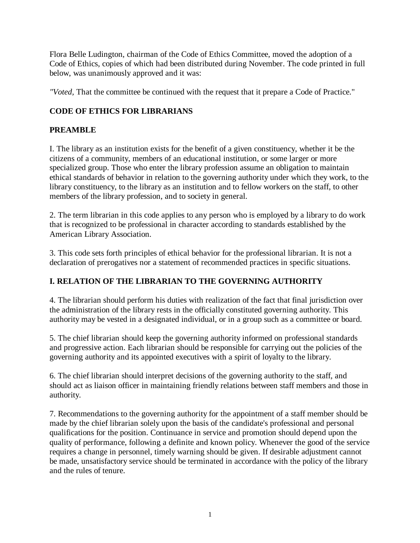Flora Belle Ludington, chairman of the Code of Ethics Committee, moved the adoption of a Code of Ethics, copies of which had been distributed during November. The code printed in full below, was unanimously approved and it was:

*"Voted,* That the committee be continued with the request that it prepare a Code of Practice."

# **CODE OF ETHICS FOR LIBRARIANS**

## **PREAMBLE**

I. The library as an institution exists for the benefit of a given constituency, whether it be the citizens of a community, members of an educational institution, or some larger or more specialized group. Those who enter the library profession assume an obligation to maintain ethical standards of behavior in relation to the governing authority under which they work, to the library constituency, to the library as an institution and to fellow workers on the staff, to other members of the library profession, and to society in general.

2. The term librarian in this code applies to any person who is employed by a library to do work that is recognized to be professional in character according to standards established by the American Library Association.

3. This code sets forth principles of ethical behavior for the professional librarian. It is not a declaration of prerogatives nor a statement of recommended practices in specific situations.

## **I. RELATION OF THE LIBRARIAN TO THE GOVERNING AUTHORITY**

4. The librarian should perform his duties with realization of the fact that final jurisdiction over the administration of the library rests in the officially constituted governing authority. This authority may be vested in a designated individual, or in a group such as a committee or board.

5. The chief librarian should keep the governing authority informed on professional standards and progressive action. Each librarian should be responsible for carrying out the policies of the governing authority and its appointed executives with a spirit of loyalty to the library.

6. The chief librarian should interpret decisions of the governing authority to the staff, and should act as liaison officer in maintaining friendly relations between staff members and those in authority.

7. Recommendations to the governing authority for the appointment of a staff member should be made by the chief librarian solely upon the basis of the candidate's professional and personal qualifications for the position. Continuance in service and promotion should depend upon the quality of performance, following a definite and known policy. Whenever the good of the service requires a change in personnel, timely warning should be given. If desirable adjustment cannot be made, unsatisfactory service should be terminated in accordance with the policy of the library and the rules of tenure.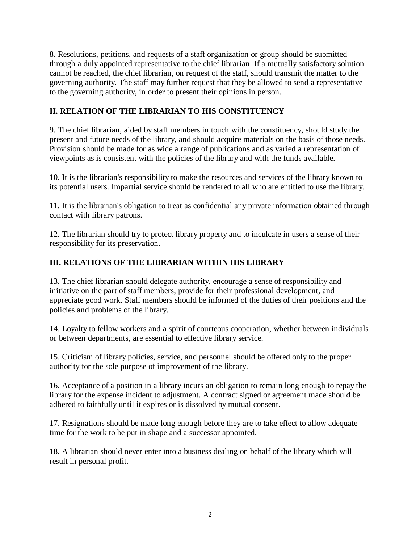8. Resolutions, petitions, and requests of a staff organization or group should be submitted through a duly appointed representative to the chief librarian. If a mutually satisfactory solution cannot be reached, the chief librarian, on request of the staff, should transmit the matter to the governing authority. The staff may further request that they be allowed to send a representative to the governing authority, in order to present their opinions in person.

#### **II. RELATION OF THE LIBRARIAN TO HIS CONSTITUENCY**

9. The chief librarian, aided by staff members in touch with the constituency, should study the present and future needs of the library, and should acquire materials on the basis of those needs. Provision should be made for as wide a range of publications and as varied a representation of viewpoints as is consistent with the policies of the library and with the funds available.

10. It is the librarian's responsibility to make the resources and services of the library known to its potential users. Impartial service should be rendered to all who are entitled to use the library.

11. It is the librarian's obligation to treat as confidential any private information obtained through contact with library patrons.

12. The librarian should try to protect library property and to inculcate in users a sense of their responsibility for its preservation.

## **III. RELATIONS OF THE LIBRARIAN WITHIN HIS LIBRARY**

13. The chief librarian should delegate authority, encourage a sense of responsibility and initiative on the part of staff members, provide for their professional development, and appreciate good work. Staff members should be informed of the duties of their positions and the policies and problems of the library.

14. Loyalty to fellow workers and a spirit of courteous cooperation, whether between individuals or between departments, are essential to effective library service.

15. Criticism of library policies, service, and personnel should be offered only to the proper authority for the sole purpose of improvement of the library.

16. Acceptance of a position in a library incurs an obligation to remain long enough to repay the library for the expense incident to adjustment. A contract signed or agreement made should be adhered to faithfully until it expires or is dissolved by mutual consent.

17. Resignations should be made long enough before they are to take effect to allow adequate time for the work to be put in shape and a successor appointed.

18. A librarian should never enter into a business dealing on behalf of the library which will result in personal profit.